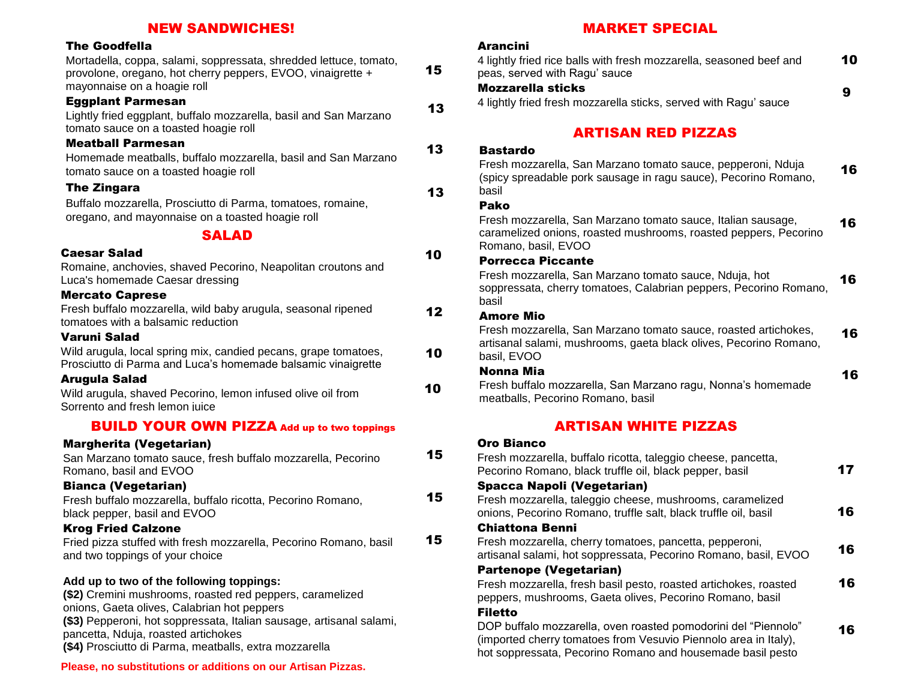### NEW SANDWICHES!

### The Goodfella

10 10 10 12 SALAD Caesar Salad Romaine, anchovies, shaved Pecorino, Neapolitan croutons and Luca's homemade Caesar dressing Mercato Caprese Fresh buffalo mozzarella, wild baby arugula, seasonal ripened tomatoes with a balsamic reduction Varuni Salad Wild arugula, local spring mix, candied pecans, grape tomatoes, Prosciutto di Parma and Luca's homemade balsamic vinaigrette Arugula Salad Wild arugula, shaved Pecorino, lemon infused olive oil from Sorrento and fresh lemon juice 15 15 15 BUILD YOUR OWN PIZZA Add up to two toppings Margherita (Vegetarian) San Marzano tomato sauce, fresh buffalo mozzarella, Pecorino Romano, basil and EVOO Bianca (Vegetarian) Fresh buffalo mozzarella, buffalo ricotta, Pecorino Romano, black pepper, basil and EVOO Krog Fried Calzone Fried pizza stuffed with fresh mozzarella, Pecorino Romano, basil and two toppings of your choice **Add up to two of the following toppings: (\$2)** Cremini mushrooms, roasted red peppers, caramelized Mortadella, coppa, salami, soppressata, shredded lettuce, tomato, provolone, oregano, hot cherry peppers, EVOO, vinaigrette + mayonnaise on a hoagie roll Eggplant Parmesan Lightly fried eggplant, buffalo mozzarella, basil and San Marzano tomato sauce on a toasted hoagie roll Meatball Parmesan Homemade meatballs, buffalo mozzarella, basil and San Marzano tomato sauce on a toasted hoagie roll The Zingara Buffalo mozzarella, Prosciutto di Parma, tomatoes, romaine, oregano, and mayonnaise on a toasted hoagie roll 15 13 13 13

onions, Gaeta olives, Calabrian hot peppers **(\$3)** Pepperoni, hot soppressata, Italian sausage, artisanal salami, pancetta, Nduja, roasted artichokes **(\$4)** Prosciutto di Parma, meatballs, extra mozzarella

#### **Please, no substitutions or additions on our Artisan Pizzas.**

# MARKET SPECIAL

### Arancini

| 4 lightly fried rice balls with fresh mozzarella, seasoned beef and                                                                                     | 10 |
|---------------------------------------------------------------------------------------------------------------------------------------------------------|----|
| peas, served with Ragu' sauce<br><b>Mozzarella sticks</b>                                                                                               |    |
| 4 lightly fried fresh mozzarella sticks, served with Ragu' sauce                                                                                        | 9  |
| <b>ARTISAN RED PIZZAS</b>                                                                                                                               |    |
| <b>Bastardo</b>                                                                                                                                         |    |
| Fresh mozzarella, San Marzano tomato sauce, pepperoni, Nduja<br>(spicy spreadable pork sausage in ragu sauce), Pecorino Romano,<br>basil                | 16 |
| Pako                                                                                                                                                    |    |
| Fresh mozzarella, San Marzano tomato sauce, Italian sausage,<br>caramelized onions, roasted mushrooms, roasted peppers, Pecorino<br>Romano, basil, EVOO | 16 |
| <b>Porrecca Piccante</b>                                                                                                                                |    |
| Fresh mozzarella, San Marzano tomato sauce, Nduja, hot<br>soppressata, cherry tomatoes, Calabrian peppers, Pecorino Romano,<br>basil                    | 16 |
| Amore Mio                                                                                                                                               |    |
| Fresh mozzarella, San Marzano tomato sauce, roasted artichokes,<br>artisanal salami, mushrooms, gaeta black olives, Pecorino Romano,<br>basil, EVOO     | 16 |
| Nonna Mia                                                                                                                                               | 16 |
| Fresh buffalo mozzarella, San Marzano ragu, Nonna's homemade<br>meatballs, Pecorino Romano, basil                                                       |    |
| <b>ARTISAN WHITE PIZZAS</b>                                                                                                                             |    |
| Oro Bianco                                                                                                                                              |    |
| Fresh mozzarella, buffalo ricotta, taleggio cheese, pancetta,                                                                                           |    |
| Pecorino Romano, black truffle oil, black pepper, basil                                                                                                 | 17 |
| Spacca Napoli (Vegetarian)                                                                                                                              |    |
| Fresh mozzarella, taleggio cheese, mushrooms, caramelized<br>onions, Pecorino Romano, truffle salt, black truffle oil, basil                            | 16 |
| <b>Chiattona Benni</b>                                                                                                                                  |    |
| Fresh mozzarella, cherry tomatoes, pancetta, pepperoni,                                                                                                 |    |
| artisanal salami, hot soppressata, Pecorino Romano, basil, EVOO                                                                                         | 16 |
| <b>Partenope (Vegetarian)</b>                                                                                                                           |    |
| Fresh mozzarella, fresh basil pesto, roasted artichokes, roasted<br>peppers, mushrooms, Gaeta olives, Pecorino Romano, basil                            | 16 |
| <b>Filetto</b><br>DOP buffalo mozzarella, oven roasted pomodorini del "Piennolo"                                                                        |    |
| (imported cherry tomatoes from Vesuvio Piennolo area in Italy),<br>hot soppressata, Pecorino Romano and housemade basil pesto                           | 16 |